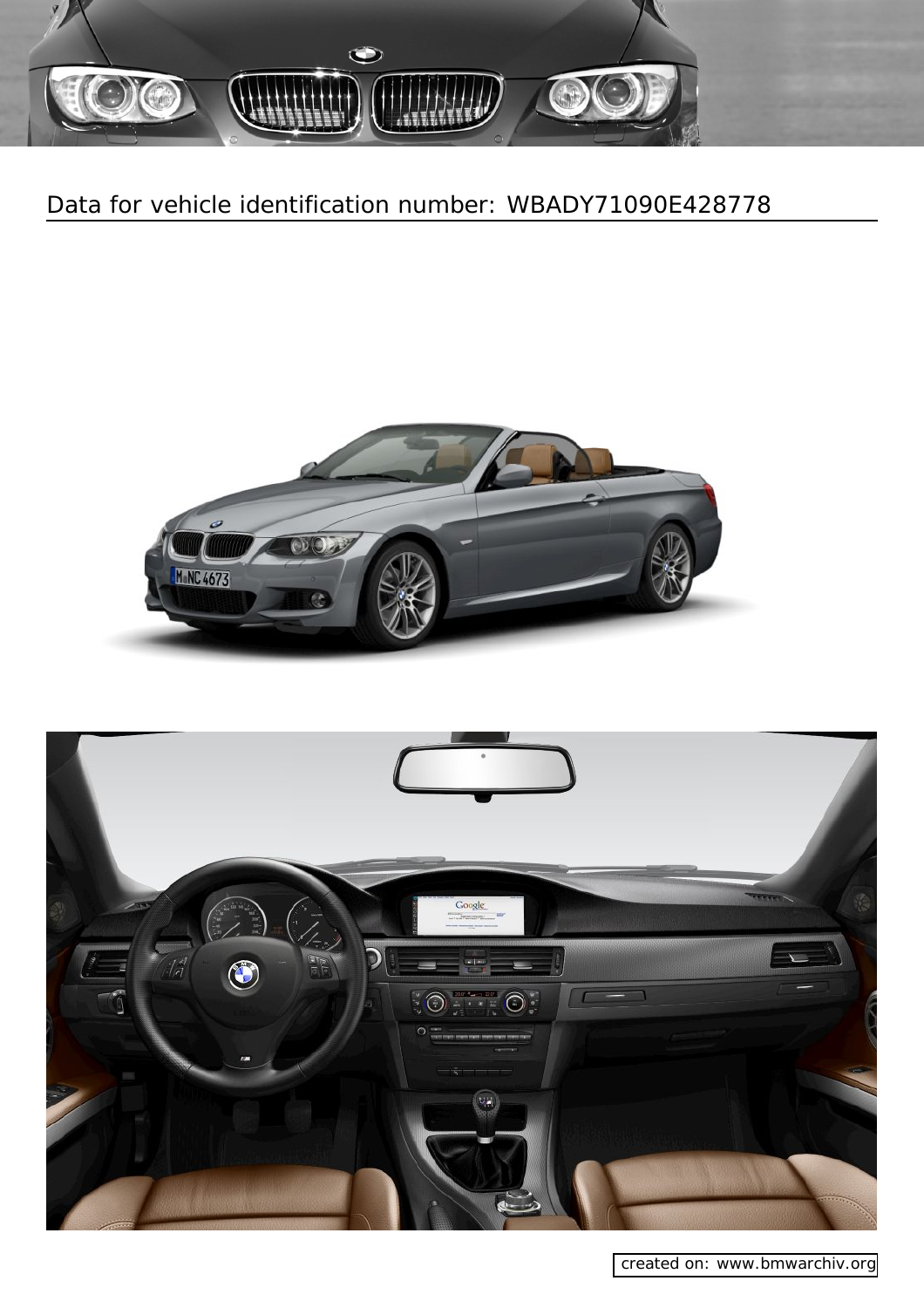





[created on: www.bmwarchiv.org](http://www.bmwarchive.org/vin/bmw-vin-decoder.html)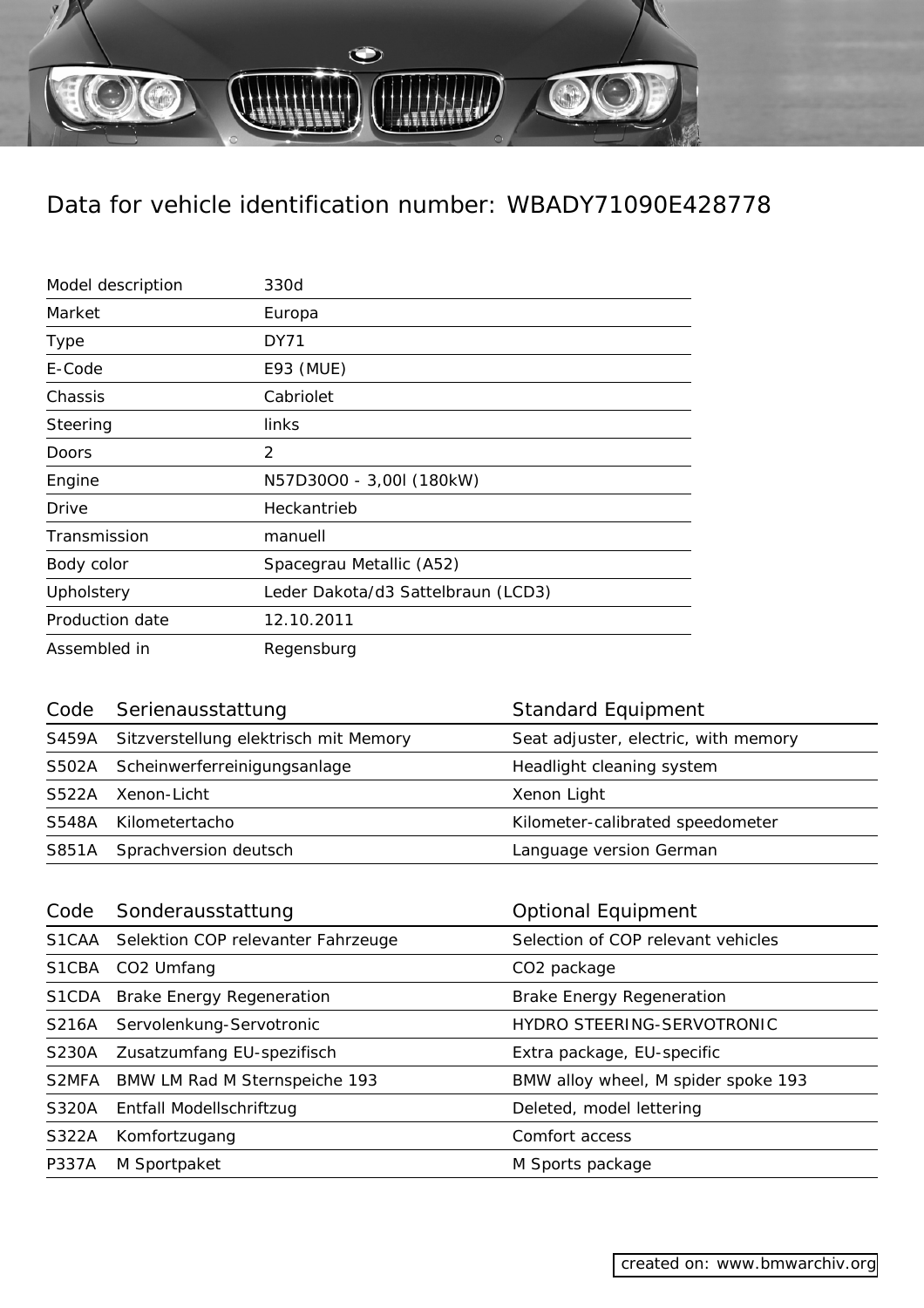$\bigodot$ 

| Model description | 330d                               |
|-------------------|------------------------------------|
| Market            | Europa                             |
| <b>Type</b>       | DY71                               |
| E-Code            | E93 (MUE)                          |
| Chassis           | Cabriolet                          |
| Steering          | links                              |
| Doors             | 2                                  |
| Engine            | N57D30O0 - 3,00I (180kW)           |
| Drive             | Heckantrieb                        |
| Transmission      | manuell                            |
| Body color        | Spacegrau Metallic (A52)           |
| Upholstery        | Leder Dakota/d3 Sattelbraun (LCD3) |
| Production date   | 12.10.2011                         |
| Assembled in      | Regensburg                         |

| Code Serienausstattung                      | <b>Standard Equipment</b>            |
|---------------------------------------------|--------------------------------------|
| S459A Sitzverstellung elektrisch mit Memory | Seat adjuster, electric, with memory |
| S502A Scheinwerferreinigungsanlage          | Headlight cleaning system            |
| S522A Xenon-Licht                           | Xenon Light                          |
| S548A Kilometertacho                        | Kilometer-calibrated speedometer     |
| S851A Sprachversion deutsch                 | Language version German              |

| Code         | Sonderausstattung                        | <b>Optional Equipment</b>           |
|--------------|------------------------------------------|-------------------------------------|
|              | S1CAA Selektion COP relevanter Fahrzeuge | Selection of COP relevant vehicles  |
| S1CBA        | CO <sub>2</sub> Umfang                   | CO <sub>2</sub> package             |
|              | S1CDA Brake Energy Regeneration          | <b>Brake Energy Regeneration</b>    |
| S216A        | Servolenkung-Servotronic                 | HYDRO STEERING-SERVOTRONIC          |
| <b>S230A</b> | Zusatzumfang EU-spezifisch               | Extra package, EU-specific          |
| S2MFA        | BMW LM Rad M Sternspeiche 193            | BMW alloy wheel, M spider spoke 193 |
| <b>S320A</b> | Entfall Modellschriftzug                 | Deleted, model lettering            |
| S322A        | Komfortzugang                            | Comfort access                      |
| P337A        | M Sportpaket                             | M Sports package                    |
|              |                                          |                                     |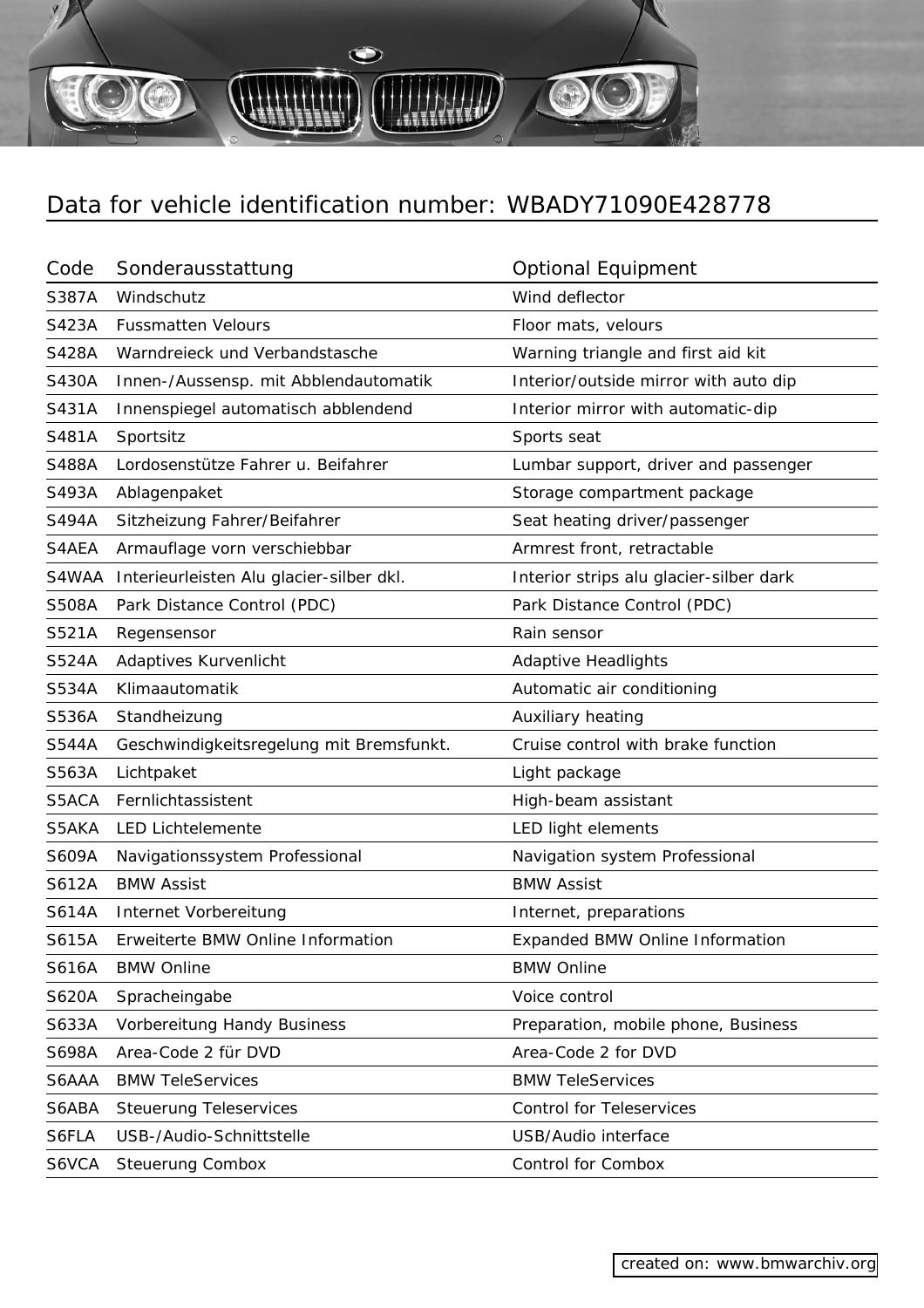$\bullet$ 

| Code  | Sonderausstattung                        | <b>Optional Equipment</b>               |
|-------|------------------------------------------|-----------------------------------------|
| S387A | Windschutz                               | Wind deflector                          |
| S423A | <b>Fussmatten Velours</b>                | Floor mats, velours                     |
| S428A | Warndreieck und Verbandstasche           | Warning triangle and first aid kit      |
| S430A | Innen-/Aussensp. mit Abblendautomatik    | Interior/outside mirror with auto dip   |
| S431A | Innenspiegel automatisch abblendend      | Interior mirror with automatic-dip      |
| S481A | Sportsitz                                | Sports seat                             |
| S488A | Lordosenstütze Fahrer u. Beifahrer       | Lumbar support, driver and passenger    |
| S493A | Ablagenpaket                             | Storage compartment package             |
| S494A | Sitzheizung Fahrer/Beifahrer             | Seat heating driver/passenger           |
| S4AEA | Armauflage vorn verschiebbar             | Armrest front, retractable              |
| S4WAA | Interieurleisten Alu glacier-silber dkl. | Interior strips alu glacier-silber dark |
| S508A | Park Distance Control (PDC)              | Park Distance Control (PDC)             |
| S521A | Regensensor                              | Rain sensor                             |
| S524A | Adaptives Kurvenlicht                    | <b>Adaptive Headlights</b>              |
| S534A | Klimaautomatik                           | Automatic air conditioning              |
| S536A | Standheizung                             | Auxiliary heating                       |
| S544A | Geschwindigkeitsregelung mit Bremsfunkt. | Cruise control with brake function      |
| S563A | Lichtpaket                               | Light package                           |
| S5ACA | Fernlichtassistent                       | High-beam assistant                     |
| S5AKA | <b>LED Lichtelemente</b>                 | LED light elements                      |
| S609A | Navigationssystem Professional           | Navigation system Professional          |
| S612A | <b>BMW Assist</b>                        | <b>BMW Assist</b>                       |
| S614A | Internet Vorbereitung                    | Internet, preparations                  |
| S615A | Erweiterte BMW Online Information        | <b>Expanded BMW Online Information</b>  |
| S616A | <b>BMW Online</b>                        | <b>BMW Online</b>                       |
| S620A | Spracheingabe                            | Voice control                           |
| S633A | Vorbereitung Handy Business              | Preparation, mobile phone, Business     |
| S698A | Area-Code 2 für DVD                      | Area-Code 2 for DVD                     |
| S6AAA | <b>BMW TeleServices</b>                  | <b>BMW TeleServices</b>                 |
| S6ABA | <b>Steuerung Teleservices</b>            | <b>Control for Teleservices</b>         |
| S6FLA | USB-/Audio-Schnittstelle                 | USB/Audio interface                     |
| S6VCA | <b>Steuerung Combox</b>                  | Control for Combox                      |